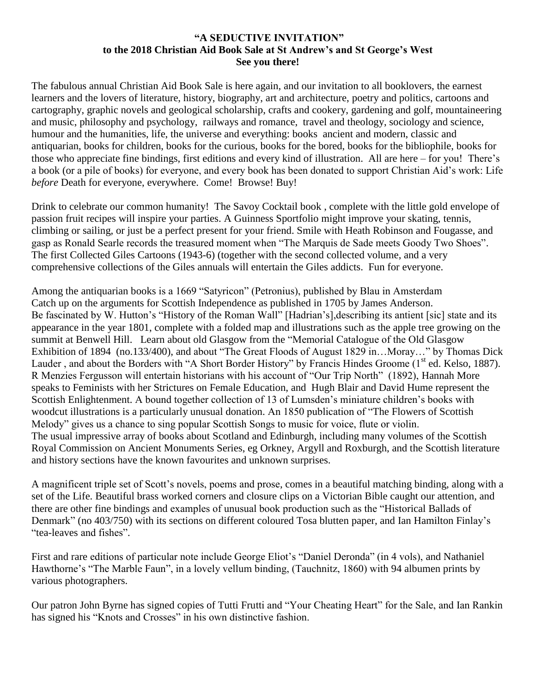## **"A SEDUCTIVE INVITATION" to the 2018 Christian Aid Book Sale at St Andrew's and St George's West See you there!**

The fabulous annual Christian Aid Book Sale is here again, and our invitation to all booklovers, the earnest learners and the lovers of literature, history, biography, art and architecture, poetry and politics, cartoons and cartography, graphic novels and geological scholarship, crafts and cookery, gardening and golf, mountaineering and music, philosophy and psychology, railways and romance, travel and theology, sociology and science, humour and the humanities, life, the universe and everything: books ancient and modern, classic and antiquarian, books for children, books for the curious, books for the bored, books for the bibliophile, books for those who appreciate fine bindings, first editions and every kind of illustration. All are here – for you! There's a book (or a pile of books) for everyone, and every book has been donated to support Christian Aid's work: Life *before* Death for everyone, everywhere. Come! Browse! Buy!

Drink to celebrate our common humanity! The Savoy Cocktail book , complete with the little gold envelope of passion fruit recipes will inspire your parties. A Guinness Sportfolio might improve your skating, tennis, climbing or sailing, or just be a perfect present for your friend. Smile with Heath Robinson and Fougasse, and gasp as Ronald Searle records the treasured moment when "The Marquis de Sade meets Goody Two Shoes". The first Collected Giles Cartoons (1943-6) (together with the second collected volume, and a very comprehensive collections of the Giles annuals will entertain the Giles addicts. Fun for everyone.

Among the antiquarian books is a 1669 "Satyricon" (Petronius), published by Blau in Amsterdam Catch up on the arguments for Scottish Independence as published in 1705 by James Anderson. Be fascinated by W. Hutton's "History of the Roman Wall" [Hadrian's],describing its antient [sic] state and its appearance in the year 1801, complete with a folded map and illustrations such as the apple tree growing on the summit at Benwell Hill. Learn about old Glasgow from the "Memorial Catalogue of the Old Glasgow Exhibition of 1894 (no.133/400), and about "The Great Floods of August 1829 in…Moray…" by Thomas Dick Lauder, and about the Borders with "A Short Border History" by Francis Hindes Groome (1<sup>st</sup> ed. Kelso, 1887). R Menzies Fergusson will entertain historians with his account of "Our Trip North" (1892), Hannah More speaks to Feminists with her Strictures on Female Education, and Hugh Blair and David Hume represent the Scottish Enlightenment. A bound together collection of 13 of Lumsden's miniature children's books with woodcut illustrations is a particularly unusual donation. An 1850 publication of "The Flowers of Scottish Melody" gives us a chance to sing popular Scottish Songs to music for voice, flute or violin. The usual impressive array of books about Scotland and Edinburgh, including many volumes of the Scottish Royal Commission on Ancient Monuments Series, eg Orkney, Argyll and Roxburgh, and the Scottish literature and history sections have the known favourites and unknown surprises.

A magnificent triple set of Scott's novels, poems and prose, comes in a beautiful matching binding, along with a set of the Life. Beautiful brass worked corners and closure clips on a Victorian Bible caught our attention, and there are other fine bindings and examples of unusual book production such as the "Historical Ballads of Denmark" (no 403/750) with its sections on different coloured Tosa blutten paper, and Ian Hamilton Finlay's "tea-leaves and fishes".

First and rare editions of particular note include George Eliot's "Daniel Deronda" (in 4 vols), and Nathaniel Hawthorne's "The Marble Faun", in a lovely vellum binding, (Tauchnitz, 1860) with 94 albumen prints by various photographers.

Our patron John Byrne has signed copies of Tutti Frutti and "Your Cheating Heart" for the Sale, and Ian Rankin has signed his "Knots and Crosses" in his own distinctive fashion.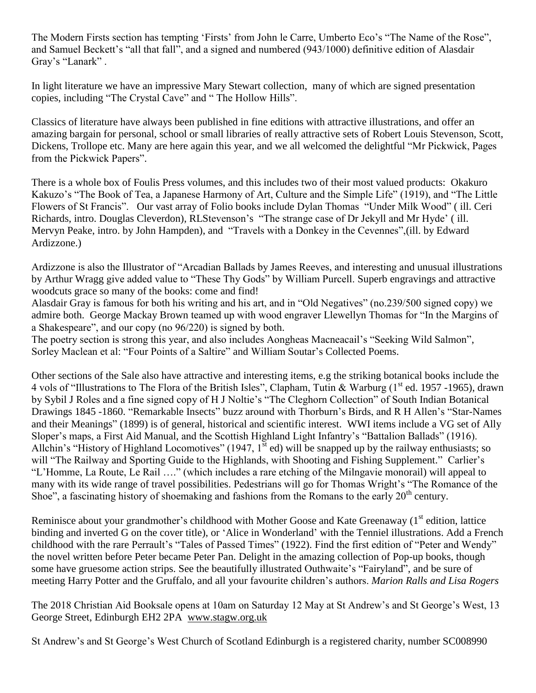The Modern Firsts section has tempting 'Firsts' from John le Carre, Umberto Eco's "The Name of the Rose", and Samuel Beckett's "all that fall", and a signed and numbered (943/1000) definitive edition of Alasdair Gray's "Lanark" .

In light literature we have an impressive Mary Stewart collection, many of which are signed presentation copies, including "The Crystal Cave" and " The Hollow Hills".

Classics of literature have always been published in fine editions with attractive illustrations, and offer an amazing bargain for personal, school or small libraries of really attractive sets of Robert Louis Stevenson, Scott, Dickens, Trollope etc. Many are here again this year, and we all welcomed the delightful "Mr Pickwick, Pages from the Pickwick Papers".

There is a whole box of Foulis Press volumes, and this includes two of their most valued products: Okakuro Kakuzo's "The Book of Tea, a Japanese Harmony of Art, Culture and the Simple Life" (1919), and "The Little Flowers of St Francis". Our vast array of Folio books include Dylan Thomas "Under Milk Wood" ( ill. Ceri Richards, intro. Douglas Cleverdon), RLStevenson's "The strange case of Dr Jekyll and Mr Hyde' ( ill. Mervyn Peake, intro. by John Hampden), and "Travels with a Donkey in the Cevennes",(ill. by Edward Ardizzone.)

Ardizzone is also the Illustrator of "Arcadian Ballads by James Reeves, and interesting and unusual illustrations by Arthur Wragg give added value to "These Thy Gods" by William Purcell. Superb engravings and attractive woodcuts grace so many of the books: come and find!

Alasdair Gray is famous for both his writing and his art, and in "Old Negatives" (no.239/500 signed copy) we admire both. George Mackay Brown teamed up with wood engraver Llewellyn Thomas for "In the Margins of a Shakespeare", and our copy (no 96/220) is signed by both.

The poetry section is strong this year, and also includes Aongheas Macneacail's "Seeking Wild Salmon", Sorley Maclean et al: "Four Points of a Saltire" and William Soutar's Collected Poems.

Other sections of the Sale also have attractive and interesting items, e.g the striking botanical books include the 4 vols of "Illustrations to The Flora of the British Isles", Clapham, Tutin & Warburg (1<sup>st</sup> ed. 1957 -1965), drawn by Sybil J Roles and a fine signed copy of H J Noltie's "The Cleghorn Collection" of South Indian Botanical Drawings 1845 -1860. "Remarkable Insects" buzz around with Thorburn's Birds, and R H Allen's "Star-Names and their Meanings" (1899) is of general, historical and scientific interest. WWI items include a VG set of Ally Sloper's maps, a First Aid Manual, and the Scottish Highland Light Infantry's "Battalion Ballads" (1916). Allchin's "History of Highland Locomotives" (1947,  $1^{\text{st}}$  ed) will be snapped up by the railway enthusiasts; so will "The Railway and Sporting Guide to the Highlands, with Shooting and Fishing Supplement." Carlier's "L'Homme, La Route, Le Rail …." (which includes a rare etching of the Milngavie monorail) will appeal to many with its wide range of travel possibilities. Pedestrians will go for Thomas Wright's "The Romance of the Shoe", a fascinating history of shoemaking and fashions from the Romans to the early  $20<sup>th</sup>$  century.

Reminisce about your grandmother's childhood with Mother Goose and Kate Greenaway (1<sup>st</sup> edition, lattice binding and inverted G on the cover title), or 'Alice in Wonderland' with the Tenniel illustrations. Add a French childhood with the rare Perrault's "Tales of Passed Times" (1922). Find the first edition of "Peter and Wendy" the novel written before Peter became Peter Pan. Delight in the amazing collection of Pop-up books, though some have gruesome action strips. See the beautifully illustrated Outhwaite's "Fairyland", and be sure of meeting Harry Potter and the Gruffalo, and all your favourite children's authors. *Marion Ralls and Lisa Rogers*

The 2018 Christian Aid Booksale opens at 10am on Saturday 12 May at St Andrew's and St George's West, 13 George Street, Edinburgh EH2 2PA [www.stagw.org.uk](http://www.stagw.org.uk/)

St Andrew's and St George's West Church of Scotland Edinburgh is a registered charity, number SC008990